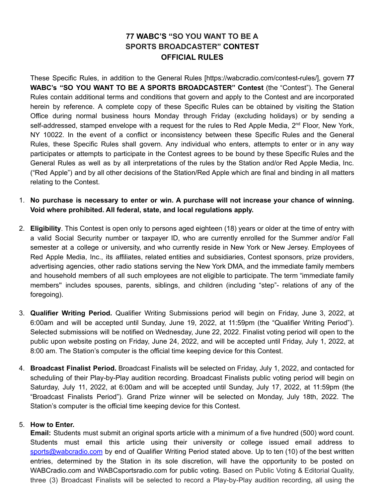## **77 WABC'S "SO YOU WANT TO BE A SPORTS BROADCASTER" CONTEST OFFICIAL RULES**

These Specific Rules, in addition to the General Rules [https://wabcradio.com/contest-rules/], govern **77 WABC's "SO YOU WANT TO BE A SPORTS BROADCASTER" Contest** (the "Contest"). The General Rules contain additional terms and conditions that govern and apply to the Contest and are incorporated herein by reference. A complete copy of these Specific Rules can be obtained by visiting the Station Office during normal business hours Monday through Friday (excluding holidays) or by sending a self-addressed, stamped envelope with a request for the rules to Red Apple Media, 2<sup>nd</sup> Floor, New York, NY 10022. In the event of a conflict or inconsistency between these Specific Rules and the General Rules, these Specific Rules shall govern. Any individual who enters, attempts to enter or in any way participates or attempts to participate in the Contest agrees to be bound by these Specific Rules and the General Rules as well as by all interpretations of the rules by the Station and/or Red Apple Media, Inc. ("Red Apple") and by all other decisions of the Station/Red Apple which are final and binding in all matters relating to the Contest.

- 1. **No purchase is necessary to enter or win. A purchase will not increase your chance of winning. Void where prohibited. All federal, state, and local regulations apply.**
- 2. **Eligibility**. This Contest is open only to persons aged eighteen (18) years or older at the time of entry with a valid Social Security number or taxpayer ID, who are currently enrolled for the Summer and/or Fall semester at a college or university, and who currently reside in New York or New Jersey. Employees of Red Apple Media, Inc., its affiliates, related entities and subsidiaries, Contest sponsors, prize providers, advertising agencies, other radio stations serving the New York DMA, and the immediate family members and household members of all such employees are not eligible to participate. The term "immediate family members'' includes spouses, parents, siblings, and children (including "step"- relations of any of the foregoing).
- 3. **Qualifier Writing Period.** Qualifier Writing Submissions period will begin on Friday, June 3, 2022, at 6:00am and will be accepted until Sunday, June 19, 2022, at 11:59pm (the "Qualifier Writing Period"). Selected submissions will be notified on Wednesday, June 22, 2022. Finalist voting period will open to the public upon website posting on Friday, June 24, 2022, and will be accepted until Friday, July 1, 2022, at 8:00 am. The Station's computer is the official time keeping device for this Contest.
- 4. **Broadcast Finalist Period.** Broadcast Finalists will be selected on Friday, July 1, 2022, and contacted for scheduling of their Play-by-Play audition recording. Broadcast Finalists public voting period will begin on Saturday, July 11, 2022, at 6:00am and will be accepted until Sunday, July 17, 2022, at 11:59pm (the "Broadcast Finalists Period"). Grand Prize winner will be selected on Monday, July 18th, 2022. The Station's computer is the official time keeping device for this Contest.

## 5. **How to Enter.**

**Email:** Students must submit an original sports article with a minimum of a five hundred (500) word count. Students must email this article using their university or college issued email address to [sports@wabcradio.com](mailto:sports@wabcradio.com) by end of Qualifier Writing Period stated above. Up to ten (10) of the best written entries, determined by the Station in its sole discretion, will have the opportunity to be posted on WABCradio.com and WABCsportsradio.com for public voting. Based on Public Voting & Editorial Quality, three (3) Broadcast Finalists will be selected to record a Play-by-Play audition recording, all using the